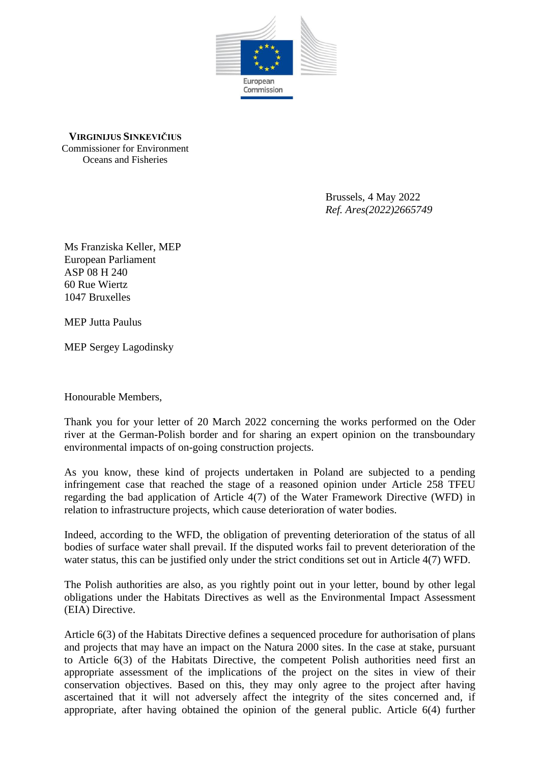

**VIRGINIJUS SINKEVIČIUS** Commissioner for Environment Oceans and Fisheries

> Brussels, 4 May 2022 *Ref. Ares(2022)2665749*

Ms Franziska Keller, MEP European Parliament ASP 08 H 240 60 Rue Wiertz 1047 Bruxelles

MEP Jutta Paulus

MEP Sergey Lagodinsky

Honourable Members,

Thank you for your letter of 20 March 2022 concerning the works performed on the Oder river at the German-Polish border and for sharing an expert opinion on the transboundary environmental impacts of on-going construction projects.

As you know, these kind of projects undertaken in Poland are subjected to a pending infringement case that reached the stage of a reasoned opinion under Article 258 TFEU regarding the bad application of Article 4(7) of the Water Framework Directive (WFD) in relation to infrastructure projects, which cause deterioration of water bodies.

Indeed, according to the WFD, the obligation of preventing deterioration of the status of all bodies of surface water shall prevail. If the disputed works fail to prevent deterioration of the water status, this can be justified only under the strict conditions set out in Article 4(7) WFD.

The Polish authorities are also, as you rightly point out in your letter, bound by other legal obligations under the Habitats Directives as well as the Environmental Impact Assessment (EIA) Directive.

Article 6(3) of the Habitats Directive defines a sequenced procedure for authorisation of plans and projects that may have an impact on the Natura 2000 sites. In the case at stake, pursuant to Article 6(3) of the Habitats Directive, the competent Polish authorities need first an appropriate assessment of the implications of the project on the sites in view of their conservation objectives. Based on this, they may only agree to the project after having ascertained that it will not adversely affect the integrity of the sites concerned and, if appropriate, after having obtained the opinion of the general public. Article 6(4) further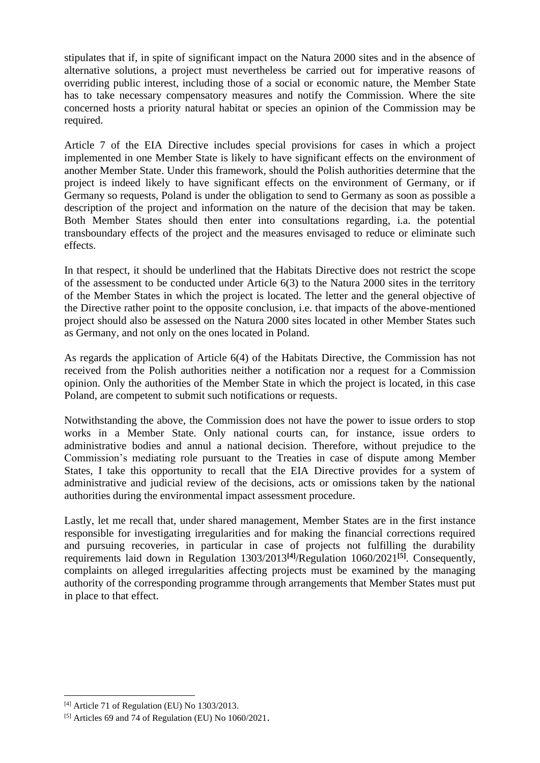stipulates that if, in spite of significant impact on the Natura 2000 sites and in the absence of alternative solutions, a project must nevertheless be carried out for imperative reasons of overriding public interest, including those of a social or economic nature, the Member State has to take necessary compensatory measures and notify the Commission. Where the site concerned hosts a priority natural habitat or species an opinion of the Commission may be required.

Article 7 of the EIA Directive includes special provisions for cases in which a project implemented in one Member State is likely to have significant effects on the environment of another Member State. Under this framework, should the Polish authorities determine that the project is indeed likely to have significant effects on the environment of Germany, or if Germany so requests, Poland is under the obligation to send to Germany as soon as possible a description of the project and information on the nature of the decision that may be taken. Both Member States should then enter into consultations regarding, i.a. the potential transboundary effects of the project and the measures envisaged to reduce or eliminate such effects.

In that respect, it should be underlined that the Habitats Directive does not restrict the scope of the assessment to be conducted under Article 6(3) to the Natura 2000 sites in the territory of the Member States in which the project is located. The letter and the general objective of the Directive rather point to the opposite conclusion, i.e. that impacts of the above-mentioned project should also be assessed on the Natura 2000 sites located in other Member States such as Germany, and not only on the ones located in Poland.

As regards the application of Article 6(4) of the Habitats Directive, the Commission has not received from the Polish authorities neither a notification nor a request for a Commission opinion. Only the authorities of the Member State in which the project is located, in this case Poland, are competent to submit such notifications or requests.

Notwithstanding the above, the Commission does not have the power to issue orders to stop works in a Member State. Only national courts can, for instance, issue orders to administrative bodies and annul a national decision. Therefore, without prejudice to the Commission's mediating role pursuant to the Treaties in case of dispute among Member States, I take this opportunity to recall that the EIA Directive provides for a system of administrative and judicial review of the decisions, acts or omissions taken by the national authorities during the environmental impact assessment procedure.

Lastly, let me recall that, under shared management, Member States are in the first instance responsible for investigating irregularities and for making the financial corrections required and pursuing recoveries, in particular in case of projects not fulfilling the durability requirements laid down in Regulation 1303/2013**[4]**/Regulation 1060/2021**[5]** . Consequently, complaints on alleged irregularities affecting projects must be examined by the managing authority of the corresponding programme through arrangements that Member States must put in place to that effect.

 $[4]$  Article 71 of Regulation (EU) No 1303/2013.

 $[5]$  Articles 69 and 74 of Regulation (EU) No  $1060/2021$ .